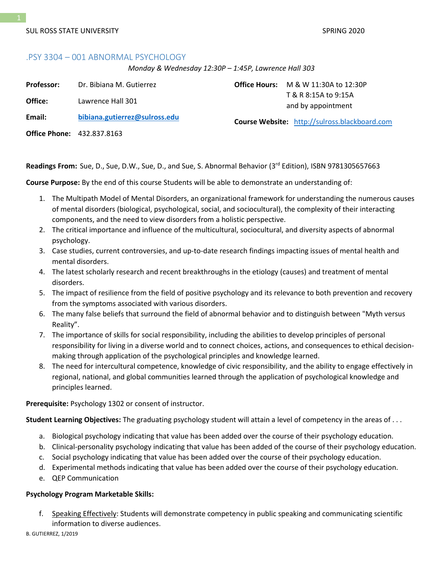# .PSY 3304 – 001 ABNORMAL PSYCHOLOGY

*Monday & Wednesday 12:30P – 1:45P, Lawrence Hall 303*

| <b>Professor:</b> | Dr. Bibiana M. Gutierrez          | <b>Office Hours:</b> $M & W$ 11:30A to 12:30P        |
|-------------------|-----------------------------------|------------------------------------------------------|
| Office:           | Lawrence Hall 301                 | T & R 8:15A to 9:15A<br>and by appointment           |
| Email:            | bibiana.gutierrez@sulross.edu     | <b>Course Website:</b> http://sulross.blackboard.com |
|                   | <b>Office Phone: 432.837.8163</b> |                                                      |

Readings From: Sue, D., Sue, D.W., Sue, D., and Sue, S. Abnormal Behavior (3<sup>rd</sup> Edition), ISBN 9781305657663

**Course Purpose:** By the end of this course Students will be able to demonstrate an understanding of:

- 1. The Multipath Model of Mental Disorders, an organizational framework for understanding the numerous causes of mental disorders (biological, psychological, social, and sociocultural), the complexity of their interacting components, and the need to view disorders from a holistic perspective.
- 2. The critical importance and influence of the multicultural, sociocultural, and diversity aspects of abnormal psychology.
- 3. Case studies, current controversies, and up-to-date research findings impacting issues of mental health and mental disorders.
- 4. The latest scholarly research and recent breakthroughs in the etiology (causes) and treatment of mental disorders.
- 5. The impact of resilience from the field of positive psychology and its relevance to both prevention and recovery from the symptoms associated with various disorders.
- 6. The many false beliefs that surround the field of abnormal behavior and to distinguish between "Myth versus Reality".
- 7. The importance of skills for social responsibility, including the abilities to develop principles of personal responsibility for living in a diverse world and to connect choices, actions, and consequences to ethical decisionmaking through application of the psychological principles and knowledge learned.
- 8. The need for intercultural competence, knowledge of civic responsibility, and the ability to engage effectively in regional, national, and global communities learned through the application of psychological knowledge and principles learned.

**Prerequisite:** Psychology 1302 or consent of instructor.

**Student Learning Objectives:** The graduating psychology student will attain a level of competency in the areas of . . .

- a. Biological psychology indicating that value has been added over the course of their psychology education.
- b. Clinical-personality psychology indicating that value has been added of the course of their psychology education.
- c. Social psychology indicating that value has been added over the course of their psychology education.
- d. Experimental methods indicating that value has been added over the course of their psychology education.
- e. QEP Communication

### **Psychology Program Marketable Skills:**

f. Speaking Effectively: Students will demonstrate competency in public speaking and communicating scientific information to diverse audiences.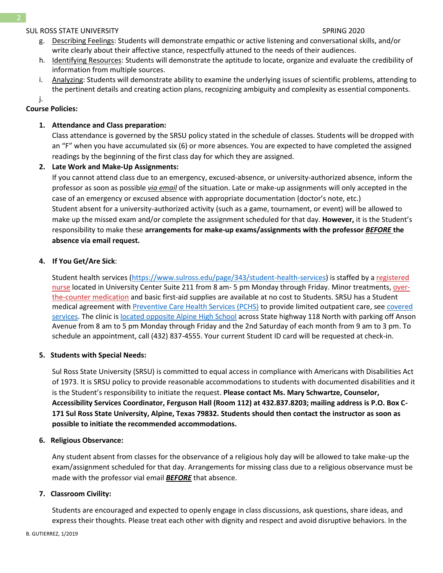- g. Describing Feelings: Students will demonstrate empathic or active listening and conversational skills, and/or write clearly about their affective stance, respectfully attuned to the needs of their audiences.
- h. Identifying Resources: Students will demonstrate the aptitude to locate, organize and evaluate the credibility of information from multiple sources.
- i. Analyzing: Students will demonstrate ability to examine the underlying issues of scientific problems, attending to the pertinent details and creating action plans, recognizing ambiguity and complexity as essential components.

j.

# **Course Policies:**

# **1. Attendance and Class preparation:**

Class attendance is governed by the SRSU policy stated in the schedule of classes. Students will be dropped with an "F" when you have accumulated six (6) or more absences. You are expected to have completed the assigned readings by the beginning of the first class day for which they are assigned.

# **2. Late Work and Make-Up Assignments:**

If you cannot attend class due to an emergency, excused-absence, or university-authorized absence, inform the professor as soon as possible *via email* of the situation. Late or make-up assignments will only accepted in the case of an emergency or excused absence with appropriate documentation (doctor's note, etc.) Student absent for a university-authorized activity (such as a game, tournament, or event) will be allowed to make up the missed exam and/or complete the assignment scheduled for that day. **However,** it is the Student's responsibility to make these **arrangements for make-up exams/assignments with the professor** *BEFORE* **the absence via email request.**

# **4. If You Get/Are Sick**:

Student health services [\(https://www.sulross.edu/page/343/student-health-services\)](https://www.sulross.edu/page/343/student-health-services) is staffed by a [registered](https://www.sulross.edu/faculty-and-staff/945/health-services-coordinator)  [nurse](https://www.sulross.edu/faculty-and-staff/945/health-services-coordinator) located in University Center Suite 211 from 8 am- 5 pm Monday through Friday. Minor treatments, [over](http://www.sulross.edu/page/1462/medications)[the-counter medication](http://www.sulross.edu/page/1462/medications) and basic first-aid supplies are available at no cost to Students. SRSU has a Student medical agreement with [Preventive Care Health Services \(PCHS\)](http://www.pchsmedclinic.org/locations) to provide limited outpatient care, see [covered](http://www.sulross.edu/page/1471/preventive-care-health-services)  [services.](http://www.sulross.edu/page/1471/preventive-care-health-services) The clinic is [located opposite Alpine High School](http://www.sulross.edu/gallery-image/4341/health-service-locations) across State highway 118 North with parking off Anson Avenue from 8 am to 5 pm Monday through Friday and the 2nd Saturday of each month from 9 am to 3 pm. To schedule an appointment, call (432) 837-4555. Your current Student ID card will be requested at check-in.

# **5. Students with Special Needs:**

Sul Ross State University (SRSU) is committed to equal access in compliance with Americans with Disabilities Act of 1973. It is SRSU policy to provide reasonable accommodations to students with documented disabilities and it is the Student's responsibility to initiate the request. **Please contact Ms. Mary Schwartze, Counselor, Accessibility Services Coordinator, Ferguson Hall (Room 112) at 432.837.8203; mailing address is P.O. Box C-171 Sul Ross State University, Alpine, Texas 79832. Students should then contact the instructor as soon as possible to initiate the recommended accommodations.**

# **6. Religious Observance:**

Any student absent from classes for the observance of a religious holy day will be allowed to take make-up the exam/assignment scheduled for that day. Arrangements for missing class due to a religious observance must be made with the professor vial email *BEFORE* that absence.

# **7. Classroom Civility:**

Students are encouraged and expected to openly engage in class discussions, ask questions, share ideas, and express their thoughts. Please treat each other with dignity and respect and avoid disruptive behaviors. In the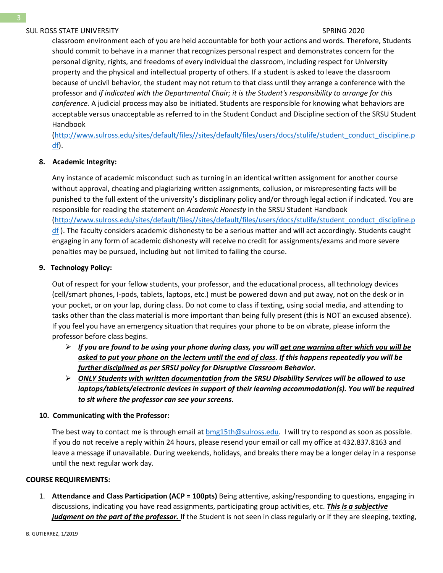classroom environment each of you are held accountable for both your actions and words. Therefore, Students should commit to behave in a manner that recognizes personal respect and demonstrates concern for the personal dignity, rights, and freedoms of every individual the classroom, including respect for University property and the physical and intellectual property of others. If a student is asked to leave the classroom because of uncivil behavior, the student may not return to that class until they arrange a conference with the professor and *if indicated with the Departmental Chair; it is the Student's responsibility to arrange for this conference.* A judicial process may also be initiated. Students are responsible for knowing what behaviors are acceptable versus unacceptable as referred to in the Student Conduct and Discipline section of the SRSU Student Handbook

[\(http://www.sulross.edu/sites/default/files//sites/default/files/users/docs/stulife/student\\_conduct\\_discipline.p](http://www.sulross.edu/sites/default/files/sites/default/files/users/docs/stulife/student_conduct_discipline.pdf) [df\)](http://www.sulross.edu/sites/default/files/sites/default/files/users/docs/stulife/student_conduct_discipline.pdf).

# **8. Academic Integrity:**

Any instance of academic misconduct such as turning in an identical written assignment for another course without approval, cheating and plagiarizing written assignments, collusion, or misrepresenting facts will be punished to the full extent of the university's disciplinary policy and/or through legal action if indicated. You are responsible for reading the statement on *Academic Honesty* in the SRSU Student Handbook [\(http://www.sulross.edu/sites/default/files//sites/default/files/users/docs/stulife/student\\_conduct\\_discipline.p](http://www.sulross.edu/sites/default/files/sites/default/files/users/docs/stulife/student_conduct_discipline.pdf) [df](http://www.sulross.edu/sites/default/files/sites/default/files/users/docs/stulife/student_conduct_discipline.pdf) ). The faculty considers academic dishonesty to be a serious matter and will act accordingly. Students caught engaging in any form of academic dishonesty will receive no credit for assignments/exams and more severe penalties may be pursued, including but not limited to failing the course.

# **9. Technology Policy:**

Out of respect for your fellow students, your professor, and the educational process, all technology devices (cell/smart phones, I-pods, tablets, laptops, etc.) must be powered down and put away, not on the desk or in your pocket, or on your lap, during class. Do not come to class if texting, using social media, and attending to tasks other than the class material is more important than being fully present (this is NOT an excused absence). If you feel you have an emergency situation that requires your phone to be on vibrate, please inform the professor before class begins.

- ➢ *If you are found to be using your phone during class, you will get one warning after which you will be asked to put your phone on the lectern until the end of class. If this happens repeatedly you will be further disciplined as per SRSU policy for Disruptive Classroom Behavior.*
- ➢ *ONLY Students with written documentation from the SRSU Disability Services will be allowed to use laptops/tablets/electronic devices in support of their learning accommodation(s). You will be required to sit where the professor can see your screens.*

# **10. Communicating with the Professor:**

The best way to contact me is through email at  $bmg15th@sulross.edu$ . I will try to respond as soon as possible. If you do not receive a reply within 24 hours, please resend your email or call my office at 432.837.8163 and leave a message if unavailable. During weekends, holidays, and breaks there may be a longer delay in a response until the next regular work day.

# **COURSE REQUIREMENTS:**

1. **Attendance and Class Participation (ACP = 100pts)** Being attentive, asking/responding to questions, engaging in discussions, indicating you have read assignments, participating group activities, etc. *This is a subjective judgment on the part of the professor.* If the Student is not seen in class regularly or if they are sleeping, texting,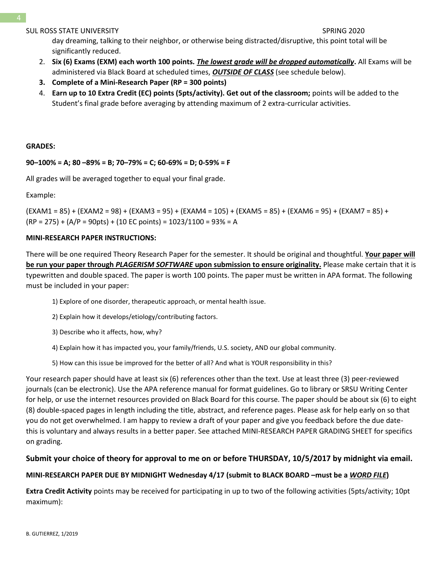day dreaming, talking to their neighbor, or otherwise being distracted/disruptive, this point total will be significantly reduced.

- 2. **Six (6) Exams (EXM) each worth 100 points.** *The lowest grade will be dropped automatically***.** All Exams will be administered via Black Board at scheduled times, *OUTSIDE OF CLASS* (see schedule below).
- **3. Complete of a Mini-Research Paper (RP = 300 points)**
- 4. **Earn up to 10 Extra Credit (EC) points (5pts/activity). Get out of the classroom;** points will be added to the Student's final grade before averaging by attending maximum of 2 extra-curricular activities.

### **GRADES:**

# **90–100% = A; 80 –89% = B; 70–79% = C; 60-69% = D; 0-59% = F**

All grades will be averaged together to equal your final grade.

Example:

(EXAM1 = 85) + (EXAM2 = 98) + (EXAM3 = 95) + (EXAM4 = 105) + (EXAM5 = 85) + (EXAM6 = 95) + (EXAM7 = 85) + (RP = 275) + (A/P = 90pts) + (10 EC points) = 1023/1100 = 93% = A

### **MINI-RESEARCH PAPER INSTRUCTIONS:**

There will be one required Theory Research Paper for the semester. It should be original and thoughtful. **Your paper will be run your paper through** *PLAGERISM SOFTWARE* **upon submission to ensure originality.** Please make certain that it is typewritten and double spaced. The paper is worth 100 points. The paper must be written in APA format. The following must be included in your paper:

- 1) Explore of one disorder, therapeutic approach, or mental health issue.
- 2) Explain how it develops/etiology/contributing factors.
- 3) Describe who it affects, how, why?
- 4) Explain how it has impacted you, your family/friends, U.S. society, AND our global community.
- 5) How can this issue be improved for the better of all? And what is YOUR responsibility in this?

Your research paper should have at least six (6) references other than the text. Use at least three (3) peer-reviewed journals (can be electronic). Use the APA reference manual for format guidelines. Go to library or SRSU Writing Center for help, or use the internet resources provided on Black Board for this course. The paper should be about six (6) to eight (8) double-spaced pages in length including the title, abstract, and reference pages. Please ask for help early on so that you do not get overwhelmed. I am happy to review a draft of your paper and give you feedback before the due datethis is voluntary and always results in a better paper. See attached MINI-RESEARCH PAPER GRADING SHEET for specifics on grading.

# **Submit your choice of theory for approval to me on or before THURSDAY, 10/5/2017 by midnight via email.**

# **MINI-RESEARCH PAPER DUE BY MIDNIGHT Wednesday 4/17 (submit to BLACK BOARD –must be a** *WORD FILE***)**

**Extra Credit Activity** points may be received for participating in up to two of the following activities (5pts/activity; 10pt maximum):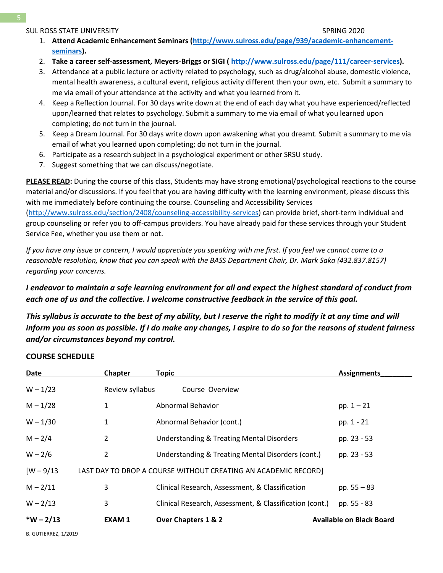- 1. **Attend Academic Enhancement Seminars [\(http://www.sulross.edu/page/939/academic-enhancement](http://www.sulross.edu/page/939/academic-enhancement-seminars)[seminars\)](http://www.sulross.edu/page/939/academic-enhancement-seminars).**
- 2. **Take a career self-assessment, Meyers-Briggs or SIGI ( [http://www.sulross.edu/page/111/career-services\)](http://www.sulross.edu/page/111/career-services).**
- 3. Attendance at a public lecture or activity related to psychology, such as drug/alcohol abuse, domestic violence, mental health awareness, a cultural event, religious activity different then your own, etc. Submit a summary to me via email of your attendance at the activity and what you learned from it.
- 4. Keep a Reflection Journal. For 30 days write down at the end of each day what you have experienced/reflected upon/learned that relates to psychology. Submit a summary to me via email of what you learned upon completing; do not turn in the journal.
- 5. Keep a Dream Journal. For 30 days write down upon awakening what you dreamt. Submit a summary to me via email of what you learned upon completing; do not turn in the journal.
- 6. Participate as a research subject in a psychological experiment or other SRSU study.
- 7. Suggest something that we can discuss/negotiate.

**PLEASE READ:** During the course of this class, Students may have strong emotional/psychological reactions to the course material and/or discussions. If you feel that you are having difficulty with the learning environment, please discuss this with me immediately before continuing the course. Counseling and Accessibility Services [\(http://www.sulross.edu/section/2408/counseling-accessibility-services\)](http://www.sulross.edu/section/2408/counseling-accessibility-services) can provide brief, short-term individual and group counseling or refer you to off-campus providers. You have already paid for these services through your Student Service Fee, whether you use them or not.

*If you have any issue or concern, I would appreciate you speaking with me first. If you feel we cannot come to a reasonable resolution, know that you can speak with the BASS Department Chair, Dr. Mark Saka (432.837.8157) regarding your concerns.*

# *I endeavor to maintain a safe learning environment for all and expect the highest standard of conduct from each one of us and the collective. I welcome constructive feedback in the service of this goal.*

*This syllabus is accurate to the best of my ability, but I reserve the right to modify it at any time and will inform you as soon as possible. If I do make any changes, I aspire to do so for the reasons of student fairness and/or circumstances beyond my control.*

# **COURSE SCHEDULE**

| <b>Date</b>                                                                    | <b>Chapter</b>  | Topic                                                   | <b>Assignments</b>              |  |  |
|--------------------------------------------------------------------------------|-----------------|---------------------------------------------------------|---------------------------------|--|--|
| $W - 1/23$                                                                     | Review syllabus | Course Overview                                         |                                 |  |  |
| $M - 1/28$                                                                     | 1               | Abnormal Behavior                                       | pp. $1 - 21$                    |  |  |
| $W - 1/30$                                                                     | 1               | Abnormal Behavior (cont.)                               | pp. 1 - 21                      |  |  |
| $M - 2/4$                                                                      | $\overline{2}$  | Understanding & Treating Mental Disorders               | pp. 23 - 53                     |  |  |
| $W - 2/6$                                                                      | 2               | Understanding & Treating Mental Disorders (cont.)       | pp. 23 - 53                     |  |  |
| $[W - 9/13]$<br>LAST DAY TO DROP A COURSE WITHOUT CREATING AN ACADEMIC RECORD] |                 |                                                         |                                 |  |  |
| $M - 2/11$                                                                     | 3               | Clinical Research, Assessment, & Classification         | pp. $55 - 83$                   |  |  |
| $W - 2/13$                                                                     | 3               | Clinical Research, Assessment, & Classification (cont.) | pp. 55 - 83                     |  |  |
| $*W - 2/13$                                                                    | <b>EXAM1</b>    | Over Chapters 1 & 2                                     | <b>Available on Black Board</b> |  |  |
| <b>B. GUTIERREZ, 1/2019</b>                                                    |                 |                                                         |                                 |  |  |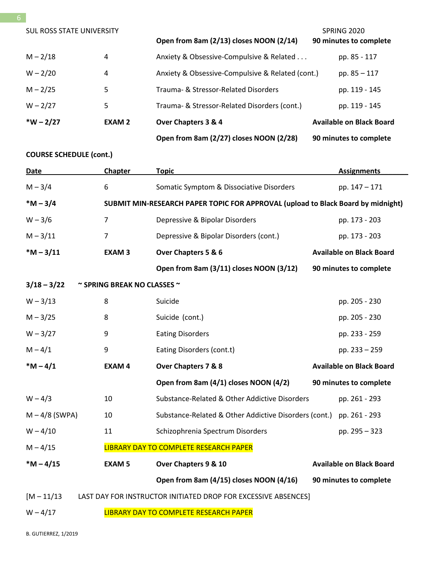| <b>SUL ROSS STATE UNIVERSITY</b> |               |                                                  | SPRING 2020                     |
|----------------------------------|---------------|--------------------------------------------------|---------------------------------|
|                                  |               | Open from 8am (2/13) closes NOON (2/14)          | 90 minutes to complete          |
| $M - 2/18$                       | 4             | Anxiety & Obsessive-Compulsive & Related         | pp. 85 - 117                    |
| $W - 2/20$                       | 4             | Anxiety & Obsessive-Compulsive & Related (cont.) | pp. $85 - 117$                  |
| $M - 2/25$                       | 5             | Trauma- & Stressor-Related Disorders             | pp. 119 - 145                   |
| $W - 2/27$                       | 5             | Trauma- & Stressor-Related Disorders (cont.)     | pp. 119 - 145                   |
| $*W - 2/27$                      | <b>EXAM 2</b> | Over Chapters 3 & 4                              | <b>Available on Black Board</b> |
|                                  |               | Open from 8am (2/27) closes NOON (2/28)          | 90 minutes to complete          |

# **COURSE SCHEDULE (cont.)**

| Date                                                                            | <b>Chapter</b>                                                                   | <b>Topic</b>                                           | <b>Assignments</b>              |  |
|---------------------------------------------------------------------------------|----------------------------------------------------------------------------------|--------------------------------------------------------|---------------------------------|--|
| $M - 3/4$                                                                       | 6                                                                                | Somatic Symptom & Dissociative Disorders               | pp. 147 - 171                   |  |
| $*M - 3/4$                                                                      | SUBMIT MIN-RESEARCH PAPER TOPIC FOR APPROVAL (upload to Black Board by midnight) |                                                        |                                 |  |
| $W - 3/6$                                                                       | $\overline{7}$                                                                   | Depressive & Bipolar Disorders                         | pp. 173 - 203                   |  |
| $M - 3/11$                                                                      | $\overline{7}$                                                                   | Depressive & Bipolar Disorders (cont.)                 | pp. 173 - 203                   |  |
| $*M - 3/11$                                                                     | <b>EXAM3</b>                                                                     | Over Chapters 5 & 6                                    | <b>Available on Black Board</b> |  |
|                                                                                 |                                                                                  | Open from 8am (3/11) closes NOON (3/12)                | 90 minutes to complete          |  |
| $3/18 - 3/22$                                                                   | $\sim$ SPRING BREAK NO CLASSES $\sim$                                            |                                                        |                                 |  |
| $W - 3/13$                                                                      | 8                                                                                | Suicide                                                | pp. 205 - 230                   |  |
| $M - 3/25$                                                                      | 8                                                                                | Suicide (cont.)                                        | pp. 205 - 230                   |  |
| $W - 3/27$                                                                      | 9                                                                                | <b>Eating Disorders</b>                                | pp. 233 - 259                   |  |
| $M - 4/1$                                                                       | 9                                                                                | Eating Disorders (cont.t)                              | pp. 233 - 259                   |  |
| $*M - 4/1$                                                                      | <b>EXAM4</b>                                                                     | <b>Available on Black Board</b><br>Over Chapters 7 & 8 |                                 |  |
|                                                                                 |                                                                                  | Open from 8am (4/1) closes NOON (4/2)                  | 90 minutes to complete          |  |
| $W - 4/3$                                                                       | 10                                                                               | Substance-Related & Other Addictive Disorders          | pp. 261 - 293                   |  |
| $M - 4/8$ (SWPA)                                                                | 10                                                                               | Substance-Related & Other Addictive Disorders (cont.)  | pp. 261 - 293                   |  |
| $W - 4/10$                                                                      | 11                                                                               | Schizophrenia Spectrum Disorders                       | pp. 295 - 323                   |  |
| $M - 4/15$<br>LIBRARY DAY TO COMPLETE RESEARCH PAPER                            |                                                                                  |                                                        |                                 |  |
| $*M - 4/15$                                                                     | <b>EXAM 5</b>                                                                    | Over Chapters 9 & 10                                   | <b>Available on Black Board</b> |  |
|                                                                                 |                                                                                  | Open from 8am (4/15) closes NOON (4/16)                | 90 minutes to complete          |  |
| $[M - 11/13]$<br>LAST DAY FOR INSTRUCTOR INITIATED DROP FOR EXCESSIVE ABSENCES] |                                                                                  |                                                        |                                 |  |
| LIBRARY DAY TO COMPLETE RESEARCH PAPER<br>$W - 4/17$                            |                                                                                  |                                                        |                                 |  |

B. GUTIERREZ, 1/2019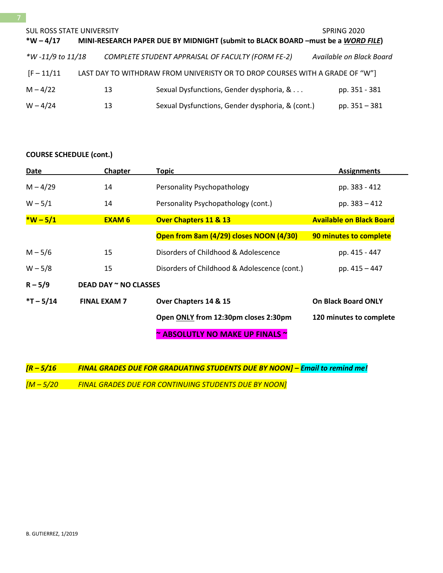# **COURSE SCHEDULE (cont.)**

| Date        | Chapter               | <b>Topic</b>                                 | <b>Assignments</b>              |  |
|-------------|-----------------------|----------------------------------------------|---------------------------------|--|
| $M - 4/29$  | 14                    | Personality Psychopathology                  | pp. 383 - 412                   |  |
| $W - 5/1$   | 14                    | Personality Psychopathology (cont.)          | pp. 383 - 412                   |  |
| $*W - 5/1$  | <b>EXAM 6</b>         | <b>Over Chapters 11 &amp; 13</b>             | <b>Available on Black Board</b> |  |
|             |                       | Open from 8am (4/29) closes NOON (4/30)      | 90 minutes to complete          |  |
| $M - 5/6$   | 15                    | Disorders of Childhood & Adolescence         | pp. 415 - 447                   |  |
| $W - 5/8$   | 15                    | Disorders of Childhood & Adolescence (cont.) | pp. 415 - 447                   |  |
| $R - 5/9$   | DEAD DAY ~ NO CLASSES |                                              |                                 |  |
| $*T - 5/14$ | <b>FINAL EXAM 7</b>   | Over Chapters 14 & 15                        | <b>On Black Board ONLY</b>      |  |
|             |                       | Open ONLY from 12:30pm closes 2:30pm         | 120 minutes to complete         |  |
|             |                       | <b>ABSOLUTLY NO MAKE UP FINALS ~</b>         |                                 |  |

*[R – 5/16 FINAL GRADES DUE FOR GRADUATING STUDENTS DUE BY NOON] – Email to remind me! [M – 5/20 FINAL GRADES DUE FOR CONTINUING STUDENTS DUE BY NOON]*